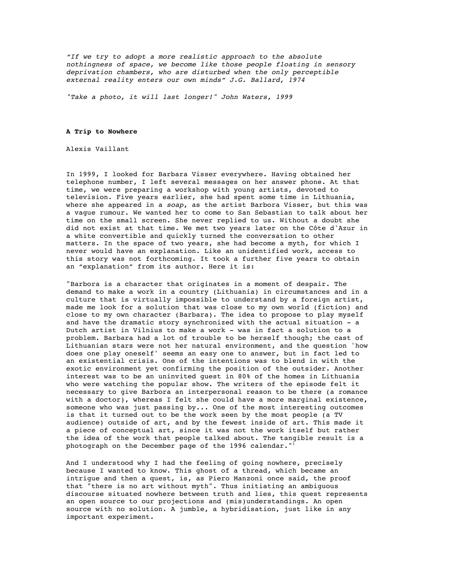*"If we try to adopt a more realistic approach to the absolute nothingness of space, we become like those people floating in sensory deprivation chambers, who are disturbed when the only perceptible external reality enters our own minds" J.G. Ballard, 1974*

*"Take a photo, it will last longer!" John Waters, 1999*

## **A Trip to Nowhere**

Alexis Vaillant

In 1999, I looked for Barbara Visser everywhere. Having obtained her telephone number, I left several messages on her answer phone. At that time, we were preparing a workshop with young artists, devoted to television. Five years earlier, she had spent some time in Lithuania, where she appeared in a *soap*, as the artist Barbora Visser, but this was a vague rumour. We wanted her to come to San Sebastian to talk about her time on the small screen. She never replied to us. Without a doubt she did not exist at that time. We met two years later on the Côte d'Azur in a white convertible and quickly turned the conversation to other matters. In the space of two years, she had become a myth, for which I never would have an explanation. Like an unidentified work, access to this story was not forthcoming. It took a further five years to obtain an "explanation" from its author. Here it is:

"Barbora is a character that originates in a moment of despair. The demand to make a work in a country (Lithuania) in circumstances and in a culture that is virtually impossible to understand by a foreign artist, made me look for a solution that was close to my own world (fiction) and close to my own character (Barbara). The idea to propose to play myself and have the dramatic story synchronized with the actual situation - a Dutch artist in Vilnius to make a work - was in fact a solution to a problem. Barbara had a lot of trouble to be herself though; the cast of Lithuanian stars were not her natural environment, and the question 'how does one play oneself' seems an easy one to answer, but in fact led to an existential crisis. One of the intentions was to blend in with the exotic environment yet confirming the position of the outsider. Another interest was to be an uninvited guest in 80% of the homes in Lithuania who were watching the popular show. The writers of the episode felt it necessary to give Barbora an interpersonal reason to be there (a romance with a doctor), whereas I felt she could have a more marginal existence, someone who was just passing by... One of the most interesting outcomes is that it turned out to be the work seen by the most people (a TV audience) outside of art, and by the fewest inside of art. This made it a piece of conceptual art, since it was not the work itself but rather the idea of the work that people talked about. The tangible result is a photograph on the December page of the 1996 calendar."

And I understood why I had the feeling of going nowhere, precisely because I wanted to know. This ghost of a thread, which became an intrigue and then a quest, is, as Piero Manzoni once said, the proof that "there is no art without myth". Thus initiating an ambiguous discourse situated nowhere between truth and lies, this quest represents an open source to our projections and (mis)understandings. An open source with no solution. A jumble, a hybridisation, just like in any important experiment.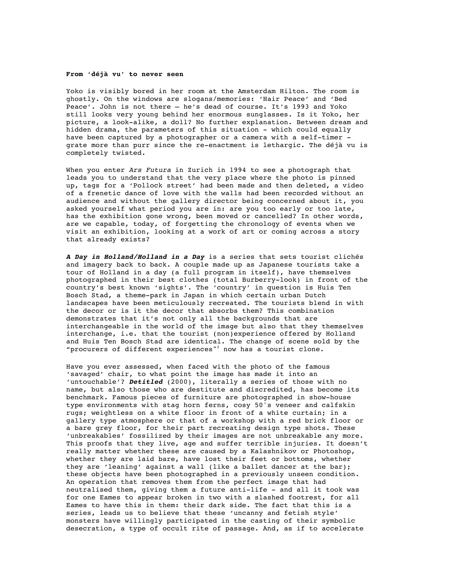## **From 'déjà vu' to never seen**

Yoko is visibly bored in her room at the Amsterdam Hilton. The room is ghostly. On the windows are slogans/memories: 'Hair Peace' and 'Bed Peace'. John is not there – he's dead of course. It's 1993 and Yoko still looks very young behind her enormous sunglasses. Is it Yoko, her picture, a look-alike, a doll? No further explanation. Between dream and hidden drama, the parameters of this situation - which could equally have been captured by a photographer or a camera with a self-timer grate more than purr since the re-enactment is lethargic. The déjà vu is completely twisted.

When you enter *Ars Futura* in Zurich in 1994 to see a photograph that leads you to understand that the very place where the photo is pinned up, tags for a 'Pollock street' had been made and then deleted, a video of a frenetic dance of love with the walls had been recorded without an audience and without the gallery director being concerned about it, you asked yourself what period you are in: are you too early or too late, has the exhibition gone wrong, been moved or cancelled? In other words, are we capable, today, of forgetting the chronology of events when we visit an exhibition, looking at a work of art or coming across a story that already exists?

*A Day in Holland/Holland in a Day* is a series that sets tourist clichés and imagery back to back. A couple made up as Japanese tourists take a tour of Holland in a day (a full program in itself), have themselves photographed in their best clothes (total Burberry-look) in front of the country's best known 'sights'. The 'country' in question is Huis Ten Bosch Stad, a theme-park in Japan in which certain urban Dutch landscapes have been meticulously recreated. The tourists blend in with the decor or is it the decor that absorbs them? This combination demonstrates that it's not only all the backgrounds that are interchangeable in the world of the image but also that they themselves interchange, i.e. that the tourist (non)experience offered by Holland and Huis Ten Bosch Stad are identical. The change of scene sold by the "procurers of different experiences"<sup>2</sup> now has a tourist clone.

Have you ever assessed, when faced with the photo of the famous 'savaged' chair, to what point the image has made it into an 'untouchable'? *Detitled* (2000), literally a series of those with no name, but also those who are destitute and discredited, has become its benchmark. Famous pieces of furniture are photographed in show-house type environments with stag horn ferns, cosy 50's veneer and calfskin rugs; weightless on a white floor in front of a white curtain; in a gallery type atmosphere or that of a workshop with a red brick floor or a bare grey floor, for their part recreating design type shots. These 'unbreakables' fossilized by their images are not unbreakable any more. This proofs that they live, age and suffer terrible injuries. It doesn't really matter whether these are caused by a Kalashnikov or Photoshop, whether they are laid bare, have lost their feet or bottoms, whether they are 'leaning' against a wall (like a ballet dancer at the bar); these objects have been photographed in a previously unseen condition. An operation that removes them from the perfect image that had neutralised them, giving them a future anti-life - and all it took was for one Eames to appear broken in two with a slashed footrest, for all Eames to have this in them: their dark side. The fact that this is a series, leads us to believe that these 'uncanny and fetish style' monsters have willingly participated in the casting of their symbolic desecration, a type of occult rite of passage. And, as if to accelerate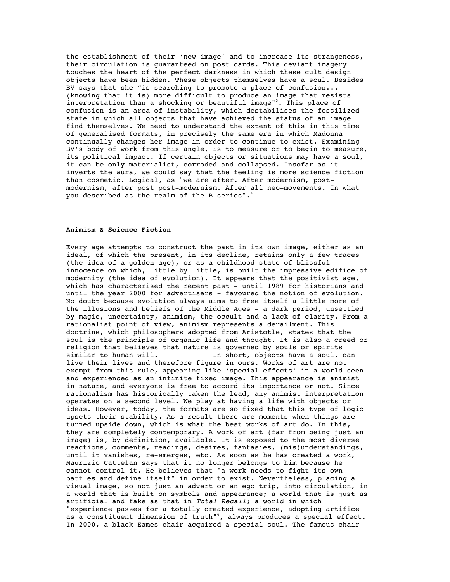the establishment of their 'new image' and to increase its strangeness, their circulation is guaranteed on post cards. This deviant imagery touches the heart of the perfect darkness in which these cult design objects have been hidden. These objects themselves have a soul. Besides BV says that she "is searching to promote a place of confusion... (knowing that it is) more difficult to produce an image that resists interpretation than a shocking or beautiful image"<sup>3</sup>. This place of confusion is an area of instability, which destabilises the fossilized state in which all objects that have achieved the status of an image find themselves. We need to understand the extent of this in this time of generalised formats, in precisely the same era in which Madonna continually changes her image in order to continue to exist. Examining BV's body of work from this angle, is to measure or to begin to measure, its political impact. If certain objects or situations may have a soul, it can be only materialist, corroded and collapsed. Insofar as it inverts the aura, we could say that the feeling is more science fiction than cosmetic. Logical, as "we are after. After modernism, postmodernism, after post post-modernism. After all neo-movements. In what you described as the realm of the B-series".<sup>4</sup>

## **Animism & Science Fiction**

Every age attempts to construct the past in its own image, either as an ideal, of which the present, in its decline, retains only a few traces (the idea of a golden age), or as a childhood state of blissful innocence on which, little by little, is built the impressive edifice of modernity (the idea of evolution). It appears that the positivist age, which has characterised the recent past - until 1989 for historians and until the year 2000 for advertisers - favoured the notion of evolution. No doubt because evolution always aims to free itself a little more of the illusions and beliefs of the Middle Ages - a dark period, unsettled by magic, uncertainty, animism, the occult and a lack of clarity. From a rationalist point of view, animism represents a derailment. This doctrine, which philosophers adopted from Aristotle, states that the soul is the principle of organic life and thought. It is also a creed or religion that believes that nature is governed by souls or spirits<br>similar to human will. In short, objects have a soul, In short, objects have a soul, can live their lives and therefore figure in ours. Works of art are not exempt from this rule, appearing like 'special effects' in a world seen and experienced as an infinite fixed image. This appearance is animist in nature, and everyone is free to accord its importance or not. Since rationalism has historically taken the lead, any animist interpretation operates on a second level. We play at having a life with objects or ideas. However, today, the formats are so fixed that this type of logic upsets their stability. As a result there are moments when things are turned upside down, which is what the best works of art do. In this, they are completely contemporary. A work of art (far from being just an image) is, by definition, available. It is exposed to the most diverse reactions, comments, readings, desires, fantasies, (mis)understandings, until it vanishes, re-emerges, etc. As soon as he has created a work, Maurizio Cattelan says that it no longer belongs to him because he cannot control it. He believes that "a work needs to fight its own battles and define itself" in order to exist. Nevertheless, placing a visual image, so not just an advert or an ego trip, into circulation, in a world that is built on symbols and appearance; a world that is just as artificial and fake as that in *Total Recall*; a world in which "experience passes for a totally created experience, adopting artifice as a constituent dimension of truth"<sup>5</sup>, always produces a special effect. In 2000, a black Eames-chair acquired a special soul. The famous chair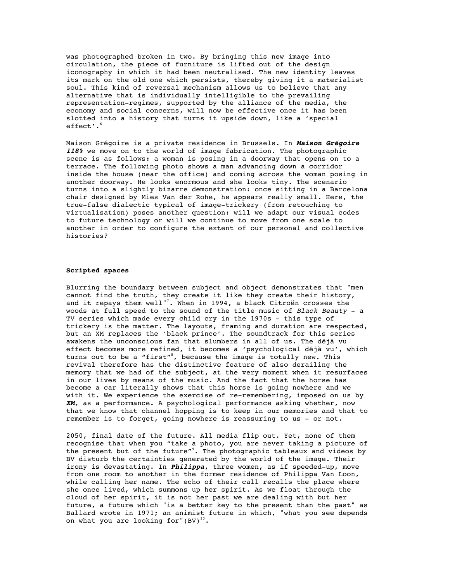was photographed broken in two. By bringing this new image into circulation, the piece of furniture is lifted out of the design iconography in which it had been neutralised. The new identity leaves its mark on the old one which persists, thereby giving it a materialist soul. This kind of reversal mechanism allows us to believe that any alternative that is individually intelligible to the prevailing representation-regimes, supported by the alliance of the media, the economy and social concerns, will now be effective once it has been slotted into a history that turns it upside down, like a 'special effect'.<sup>6</sup>

Maison Grégoire is a private residence in Brussels. In *Maison Grégoire 118%* we move on to the world of image fabrication*.* The photographic scene is as follows: a woman is posing in a doorway that opens on to a terrace. The following photo shows a man advancing down a corridor inside the house (near the office) and coming across the woman posing in another doorway. He looks enormous and she looks tiny. The scenario turns into a slightly bizarre demonstration: once sitting in a Barcelona chair designed by Mies Van der Rohe, he appears really small. Here, the true-false dialectic typical of image-trickery (from retouching to virtualisation) poses another question: will we adapt our visual codes to future technology or will we continue to move from one scale to another in order to configure the extent of our personal and collective histories?

## **Scripted spaces**

Blurring the boundary between subject and object demonstrates that "men cannot find the truth, they create it like they create their history, and it repays them well"<sup>7</sup>. When in 1994, a black Citroën crosses the woods at full speed to the sound of the title music of *Black Beauty* - a TV series which made every child cry in the 1970s - this type of trickery is the matter. The layouts, framing and duration are respected, but an XM replaces the 'black prince'. The soundtrack for this series awakens the unconscious fan that slumbers in all of us. The déjà vu effect becomes more refined, it becomes a 'psychological déjà vu', which turns out to be a "first"<sup>8</sup>, because the image is totally new. This revival therefore has the distinctive feature of also derailing the memory that we had of the subject, at the very moment when it resurfaces in our lives by means of the music. And the fact that the horse has become a car literally shows that this horse is going nowhere and we with it. We experience the exercise of re-remembering, imposed on us by *XM,* as a performance. A psychological performance asking whether, now that we know that channel hopping is to keep in our memories and that to remember is to forget, going nowhere is reassuring to us - or not.

2050, final date of the future. All media flip out. Yet, none of them recognise that when you "take a photo, you are never taking a picture of the present but of the future"<sup>9</sup>. The photographic tableaux and videos by BV disturb the certainties generated by the world of the image. Their irony is devastating. In *Philippa*, three women, as if speeded-up, move from one room to another in the former residence of Philippa Van Loon, while calling her name. The echo of their call recalls the place where she once lived, which summons up her spirit. As we float through the cloud of her spirit, it is not her past we are dealing with but her future, a future which "is a better key to the present than the past" as Ballard wrote in 1971; an animist future in which, "what you see depends on what you are looking for"(BV)<sup>10</sup>.